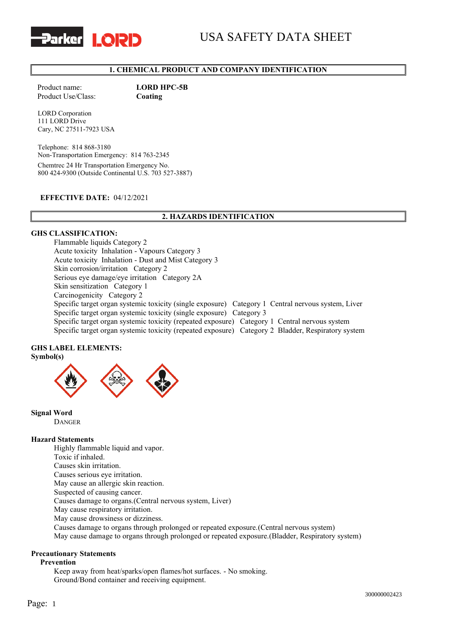



# **1. CHEMICAL PRODUCT AND COMPANY IDENTIFICATION**

Product name: **LORD HPC-5B** Product Use/Class: **Coating** 

LORD Corporation 111 LORD Drive Cary, NC 27511-7923 USA

Telephone: 814 868-3180 Non-Transportation Emergency: 814 763-2345 Chemtrec 24 Hr Transportation Emergency No. 800 424-9300 (Outside Continental U.S. 703 527-3887)

## **EFFECTIVE DATE:** 04/12/2021

# **2. HAZARDS IDENTIFICATION**

## **GHS CLASSIFICATION:**

Flammable liquids Category 2 Acute toxicity Inhalation - Vapours Category 3 Acute toxicity Inhalation - Dust and Mist Category 3 Skin corrosion/irritation Category 2 Serious eye damage/eye irritation Category 2A Skin sensitization Category 1 Carcinogenicity Category 2 Specific target organ systemic toxicity (single exposure) Category 1 Central nervous system, Liver Specific target organ systemic toxicity (single exposure) Category 3 Specific target organ systemic toxicity (repeated exposure) Category 1 Central nervous system Specific target organ systemic toxicity (repeated exposure) Category 2 Bladder, Respiratory system

# **GHS LABEL ELEMENTS:**

**Symbol(s)**



**Signal Word**

DANGER

#### **Hazard Statements**

Highly flammable liquid and vapor. Toxic if inhaled. Causes skin irritation. Causes serious eye irritation. May cause an allergic skin reaction. Suspected of causing cancer. Causes damage to organs.(Central nervous system, Liver) May cause respiratory irritation. May cause drowsiness or dizziness. Causes damage to organs through prolonged or repeated exposure.(Central nervous system) May cause damage to organs through prolonged or repeated exposure.(Bladder, Respiratory system)

## **Precautionary Statements**

#### **Prevention**

Keep away from heat/sparks/open flames/hot surfaces. - No smoking. Ground/Bond container and receiving equipment.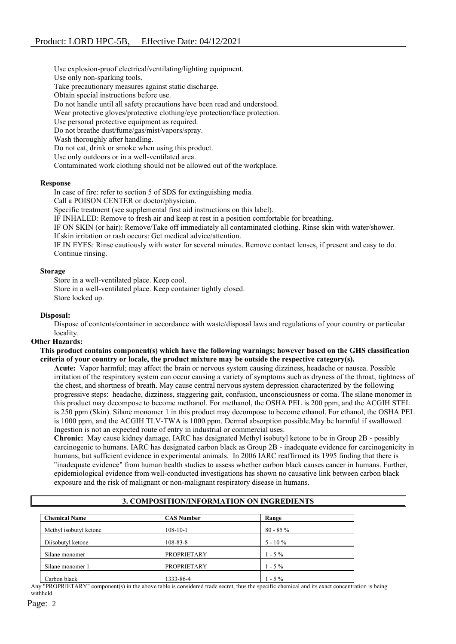Use explosion-proof electrical/ventilating/lighting equipment.

Use only non-sparking tools.

Take precautionary measures against static discharge.

Obtain special instructions before use.

Do not handle until all safety precautions have been read and understood.

Wear protective gloves/protective clothing/eye protection/face protection.

Use personal protective equipment as required.

Do not breathe dust/fume/gas/mist/vapors/spray.

Wash thoroughly after handling.

Do not eat, drink or smoke when using this product.

Use only outdoors or in a well-ventilated area.

Contaminated work clothing should not be allowed out of the workplace.

## **Response**

In case of fire: refer to section 5 of SDS for extinguishing media.

Call a POISON CENTER or doctor/physician.

Specific treatment (see supplemental first aid instructions on this label).

IF INHALED: Remove to fresh air and keep at rest in a position comfortable for breathing.

IF ON SKIN (or hair): Remove/Take off immediately all contaminated clothing. Rinse skin with water/shower.

If skin irritation or rash occurs: Get medical advice/attention.

IF IN EYES: Rinse cautiously with water for several minutes. Remove contact lenses, if present and easy to do. Continue rinsing.

## **Storage**

Store in a well-ventilated place. Keep cool. Store in a well-ventilated place. Keep container tightly closed.

Store locked up.

## **Disposal:**

Dispose of contents/container in accordance with waste/disposal laws and regulations of your country or particular locality.

## **Other Hazards:**

## **This product contains component(s) which have the following warnings; however based on the GHS classification criteria of your country or locale, the product mixture may be outside the respective category(s).**

**Acute:** Vapor harmful; may affect the brain or nervous system causing dizziness, headache or nausea. Possible irritation of the respiratory system can occur causing a variety of symptoms such as dryness of the throat, tightness of the chest, and shortness of breath. May cause central nervous system depression characterized by the following progressive steps: headache, dizziness, staggering gait, confusion, unconsciousness or coma. The silane monomer in this product may decompose to become methanol. For methanol, the OSHA PEL is 200 ppm, and the ACGIH STEL is 250 ppm (Skin). Silane monomer 1 in this product may decompose to become ethanol. For ethanol, the OSHA PEL is 1000 ppm, and the ACGIH TLV-TWA is 1000 ppm. Dermal absorption possible.May be harmful if swallowed. Ingestion is not an expected route of entry in industrial or commercial uses.

**Chronic:** May cause kidney damage. IARC has designated Methyl isobutyl ketone to be in Group 2B - possibly carcinogenic to humans. IARC has designated carbon black as Group 2B - inadequate evidence for carcinogenicity in humans, but sufficient evidence in experimental animals. In 2006 IARC reaffirmed its 1995 finding that there is "inadequate evidence" from human health studies to assess whether carbon black causes cancer in humans. Further, epidemiological evidence from well-conducted investigations has shown no causative link between carbon black exposure and the risk of malignant or non-malignant respiratory disease in humans.

| <b>Chemical Name</b>   | <b>CAS Number</b>  | Range      |  |
|------------------------|--------------------|------------|--|
| Methyl isobutyl ketone | $108 - 10 - 1$     | $80 - 85%$ |  |
| Diisobutyl ketone      | 108-83-8           | $5 - 10\%$ |  |
| Silane monomer         | <b>PROPRIETARY</b> | $1 - 5\%$  |  |
| Silane monomer 1       | <b>PROPRIETARY</b> | $1 - 5\%$  |  |
| Carbon black           | 1333-86-4          | $1 - 5\%$  |  |

# **3. COMPOSITION/INFORMATION ON INGREDIENTS**

Any "PROPRIETARY" component(s) in the above table is considered trade secret, thus the specific chemical and its exact concentration is being withheld.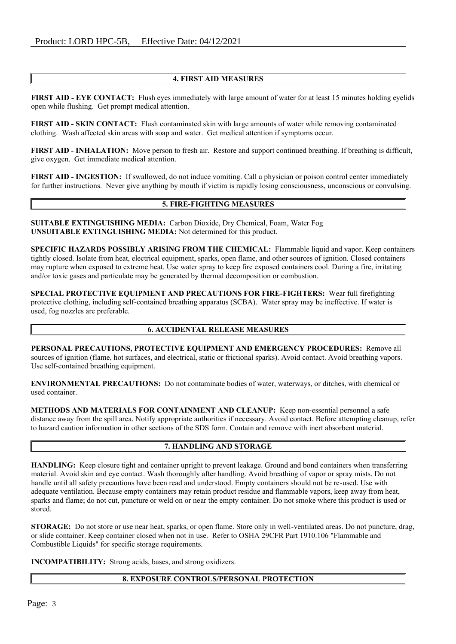## **4. FIRST AID MEASURES**

**FIRST AID - EYE CONTACT:** Flush eyes immediately with large amount of water for at least 15 minutes holding eyelids open while flushing. Get prompt medical attention.

**FIRST AID - SKIN CONTACT:** Flush contaminated skin with large amounts of water while removing contaminated clothing. Wash affected skin areas with soap and water. Get medical attention if symptoms occur.

**FIRST AID - INHALATION:** Move person to fresh air. Restore and support continued breathing. If breathing is difficult, give oxygen. Get immediate medical attention.

**FIRST AID - INGESTION:** If swallowed, do not induce vomiting. Call a physician or poison control center immediately for further instructions. Never give anything by mouth if victim is rapidly losing consciousness, unconscious or convulsing.

# **5. FIRE-FIGHTING MEASURES**

**SUITABLE EXTINGUISHING MEDIA:** Carbon Dioxide, Dry Chemical, Foam, Water Fog **UNSUITABLE EXTINGUISHING MEDIA:** Not determined for this product.

**SPECIFIC HAZARDS POSSIBLY ARISING FROM THE CHEMICAL:** Flammable liquid and vapor. Keep containers tightly closed. Isolate from heat, electrical equipment, sparks, open flame, and other sources of ignition. Closed containers may rupture when exposed to extreme heat. Use water spray to keep fire exposed containers cool. During a fire, irritating and/or toxic gases and particulate may be generated by thermal decomposition or combustion.

**SPECIAL PROTECTIVE EQUIPMENT AND PRECAUTIONS FOR FIRE-FIGHTERS:** Wear full firefighting protective clothing, including self-contained breathing apparatus (SCBA). Water spray may be ineffective. If water is used, fog nozzles are preferable.

## **6. ACCIDENTAL RELEASE MEASURES**

**PERSONAL PRECAUTIONS, PROTECTIVE EQUIPMENT AND EMERGENCY PROCEDURES:** Remove all sources of ignition (flame, hot surfaces, and electrical, static or frictional sparks). Avoid contact. Avoid breathing vapors. Use self-contained breathing equipment.

**ENVIRONMENTAL PRECAUTIONS:** Do not contaminate bodies of water, waterways, or ditches, with chemical or used container.

**METHODS AND MATERIALS FOR CONTAINMENT AND CLEANUP:** Keep non-essential personnel a safe distance away from the spill area. Notify appropriate authorities if necessary. Avoid contact. Before attempting cleanup, refer to hazard caution information in other sections of the SDS form. Contain and remove with inert absorbent material.

## **7. HANDLING AND STORAGE**

**HANDLING:** Keep closure tight and container upright to prevent leakage. Ground and bond containers when transferring material. Avoid skin and eye contact. Wash thoroughly after handling. Avoid breathing of vapor or spray mists. Do not handle until all safety precautions have been read and understood. Empty containers should not be re-used. Use with adequate ventilation. Because empty containers may retain product residue and flammable vapors, keep away from heat, sparks and flame; do not cut, puncture or weld on or near the empty container. Do not smoke where this product is used or stored.

**STORAGE:** Do not store or use near heat, sparks, or open flame. Store only in well-ventilated areas. Do not puncture, drag, or slide container. Keep container closed when not in use. Refer to OSHA 29CFR Part 1910.106 "Flammable and Combustible Liquids" for specific storage requirements.

**INCOMPATIBILITY:** Strong acids, bases, and strong oxidizers.

## **8. EXPOSURE CONTROLS/PERSONAL PROTECTION**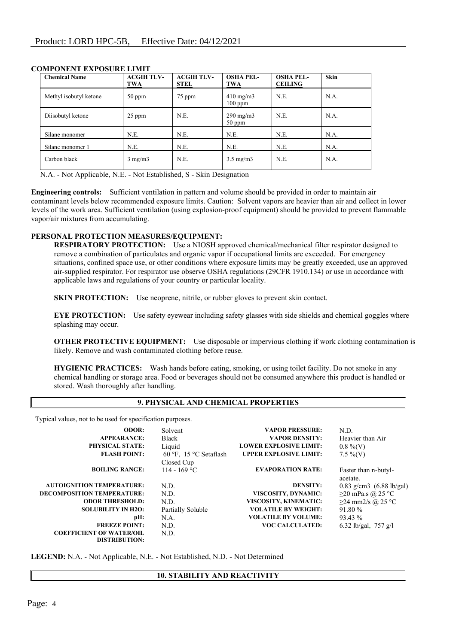| <b>Chemical Name</b>   | <b>ACGIH TLV-</b><br><b>TWA</b> | <b>ACGIH TLV-</b><br><b>STEL</b> | <b>OSHA PEL-</b><br>TWA         | <b>OSHA PEL-</b><br><b>CEILING</b> | <b>Skin</b> |
|------------------------|---------------------------------|----------------------------------|---------------------------------|------------------------------------|-------------|
| Methyl isobutyl ketone | $50$ ppm                        | 75 ppm                           | $410 \text{ mg/m}$<br>$100$ ppm | N.E.                               | N.A.        |
| Diisobutyl ketone      | $25$ ppm                        | N.E.                             | $290 \text{ mg/m}$<br>$50$ ppm  | N.E.                               | N.A.        |
| Silane monomer         | N.E.                            | N.E.                             | N.E.                            | N.E.                               | N.A.        |
| Silane monomer 1       | N.E.                            | N.E.                             | N.E.                            | N.E.                               | N.A.        |
| Carbon black           | $3 \text{ mg/m}$                | N.E.                             | $3.5 \text{ mg/m}$              | N.E.                               | N.A.        |

# **COMPONENT EXPOSURE LIMIT**

N.A. - Not Applicable, N.E. - Not Established, S - Skin Designation

**Engineering controls:** Sufficient ventilation in pattern and volume should be provided in order to maintain air contaminant levels below recommended exposure limits. Caution: Solvent vapors are heavier than air and collect in lower levels of the work area. Sufficient ventilation (using explosion-proof equipment) should be provided to prevent flammable vapor/air mixtures from accumulating.

## **PERSONAL PROTECTION MEASURES/EQUIPMENT:**

**RESPIRATORY PROTECTION:** Use a NIOSH approved chemical/mechanical filter respirator designed to remove a combination of particulates and organic vapor if occupational limits are exceeded. For emergency situations, confined space use, or other conditions where exposure limits may be greatly exceeded, use an approved air-supplied respirator. For respirator use observe OSHA regulations (29CFR 1910.134) or use in accordance with applicable laws and regulations of your country or particular locality.

**SKIN PROTECTION:** Use neoprene, nitrile, or rubber gloves to prevent skin contact.

**EYE PROTECTION:** Use safety eyewear including safety glasses with side shields and chemical goggles where splashing may occur.

**OTHER PROTECTIVE EQUIPMENT:** Use disposable or impervious clothing if work clothing contamination is likely. Remove and wash contaminated clothing before reuse.

**HYGIENIC PRACTICES:** Wash hands before eating, smoking, or using toilet facility. Do not smoke in any chemical handling or storage area. Food or beverages should not be consumed anywhere this product is handled or stored. Wash thoroughly after handling.

# **9. PHYSICAL AND CHEMICAL PROPERTIES**

Typical values, not to be used for specification purposes.

| <b>ODOR:</b>                      | Solvent                | <b>VAPOR PRESSURE:</b>        | N.D.                                 |
|-----------------------------------|------------------------|-------------------------------|--------------------------------------|
| <b>APPEARANCE:</b>                | Black                  | <b>VAPOR DENSITY:</b>         | Heavier than Air                     |
| <b>PHYSICAL STATE:</b>            | Liquid                 | <b>LOWER EXPLOSIVE LIMIT:</b> | $0.8\%$ (V)                          |
| <b>FLASH POINT:</b>               | 60 °F, 15 °C Setaflash | <b>UPPER EXPLOSIVE LIMIT:</b> | $7.5\%$ (V)                          |
|                                   | Closed Cup             |                               |                                      |
| <b>BOILING RANGE:</b>             | 114 - 169 °C           | <b>EVAPORATION RATE:</b>      | Faster than n-butyl-<br>acetate.     |
| <b>AUTOIGNITION TEMPERATURE:</b>  | N.D.                   | <b>DENSITY:</b>               | $0.83$ g/cm3 $(6.88 \text{ lb/gal})$ |
| <b>DECOMPOSITION TEMPERATURE:</b> | N.D.                   | VISCOSITY, DYNAMIC:           | $\geq$ 20 mPa.s @ 25 °C              |
| <b>ODOR THRESHOLD:</b>            | N.D.                   | VISCOSITY, KINEMATIC:         | $≥24$ mm2/s @ 25 °C                  |
| <b>SOLUBILITY IN H2O:</b>         | Partially Soluble      | <b>VOLATILE BY WEIGHT:</b>    | 91.80 %                              |
| pH:                               | N.A.                   | <b>VOLATILE BY VOLUME:</b>    | 93.43 %                              |
| <b>FREEZE POINT:</b>              | N.D.                   | <b>VOC CALCULATED:</b>        | 6.32 lb/gal, $757$ g/l               |
| <b>COEFFICIENT OF WATER/OIL</b>   | N.D.                   |                               |                                      |
| <b>DISTRIBUTION:</b>              |                        |                               |                                      |

**LEGEND:** N.A. - Not Applicable, N.E. - Not Established, N.D. - Not Determined

# **10. STABILITY AND REACTIVITY**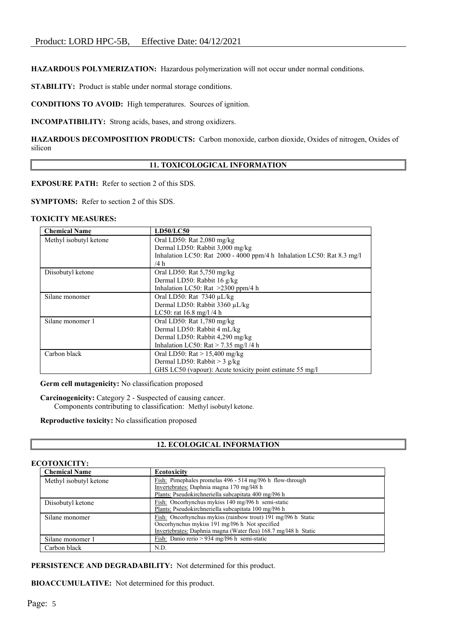**HAZARDOUS POLYMERIZATION:** Hazardous polymerization will not occur under normal conditions.

**STABILITY:** Product is stable under normal storage conditions.

**CONDITIONS TO AVOID:** High temperatures. Sources of ignition.

**INCOMPATIBILITY:** Strong acids, bases, and strong oxidizers.

**HAZARDOUS DECOMPOSITION PRODUCTS:** Carbon monoxide, carbon dioxide, Oxides of nitrogen, Oxides of silicon

## **11. TOXICOLOGICAL INFORMATION**

**EXPOSURE PATH:** Refer to section 2 of this SDS.

**SYMPTOMS:** Refer to section 2 of this SDS.

#### **TOXICITY MEASURES:**

| <b>Chemical Name</b>   | <b>LD50/LC50</b>                                                       |
|------------------------|------------------------------------------------------------------------|
| Methyl isobutyl ketone | Oral LD50: Rat 2,080 mg/kg                                             |
|                        | Dermal LD50: Rabbit 3,000 mg/kg                                        |
|                        | Inhalation LC50: Rat 2000 - 4000 ppm/4 h Inhalation LC50: Rat 8.3 mg/l |
|                        | /4 h                                                                   |
| Diisobutyl ketone      | Oral LD50: Rat $5,750$ mg/kg                                           |
|                        | Dermal LD50: Rabbit 16 g/kg                                            |
|                        | Inhalation LC50: Rat $>2300$ ppm/4 h                                   |
| Silane monomer         | Oral LD50: Rat $7340 \mu L/kg$                                         |
|                        | Dermal LD50: Rabbit 3360 µL/kg                                         |
|                        | LC50: rat $16.8 \text{ mg}/1/4 \text{ h}$                              |
| Silane monomer 1       | Oral LD50: Rat $1,780$ mg/kg                                           |
|                        | Dermal LD50: Rabbit 4 mL/kg                                            |
|                        | Dermal LD50: Rabbit 4,290 mg/kg                                        |
|                        | Inhalation LC50: $\text{Rat} > 7.35 \text{ mg/l}$ /4 h                 |
| Carbon black           | Oral LD50: $\text{Rat} > 15,400 \text{ mg/kg}$                         |
|                        | Dermal LD50: Rabbit $>$ 3 g/kg                                         |
|                        | GHS LC50 (vapour): Acute toxicity point estimate 55 mg/l               |

**Germ cell mutagenicity:** No classification proposed

**Carcinogenicity:** Category 2 - Suspected of causing cancer. Components contributing to classification: Methyl isobutyl ketone.

**Reproductive toxicity:** No classification proposed

# **12. ECOLOGICAL INFORMATION**

#### **ECOTOXICITY:**

| <b>Chemical Name</b>   | <b>Ecotoxicity</b>                                              |
|------------------------|-----------------------------------------------------------------|
| Methyl isobutyl ketone | Fish: Pimephales promelas 496 - 514 mg/l96 h flow-through       |
|                        | Invertebrates: Daphnia magna 170 mg/l48 h                       |
|                        | Plants: Pseudokirchneriella subcapitata 400 mg/l96 h            |
| Diisobutyl ketone      | Fish: Oncorhynchus mykiss 140 mg/196 h semi-static              |
|                        | Plants: Pseudokirchneriella subcapitata 100 mg/l96 h            |
| Silane monomer         | Fish: Oncorhynchus mykiss (rainbow trout) 191 mg/196 h Static   |
|                        | Oncorhynchus mykiss 191 mg/196 h Not specified                  |
|                        | Invertebrates: Daphnia magna (Water flea) 168.7 mg/148 h Static |
| Silane monomer 1       | Fish: Danio rerio > 934 mg/l96 h semi-static                    |
| Carbon black           | N.D.                                                            |

**PERSISTENCE AND DEGRADABILITY:** Not determined for this product.

**BIOACCUMULATIVE:** Not determined for this product.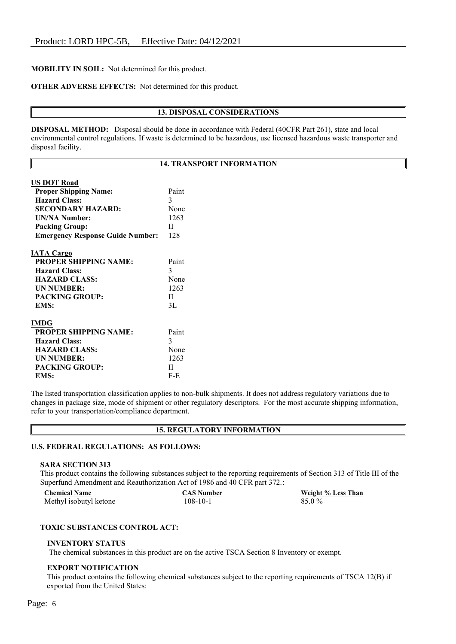# **MOBILITY IN SOIL:** Not determined for this product.

## **OTHER ADVERSE EFFECTS:** Not determined for this product.

#### **13. DISPOSAL CONSIDERATIONS**

**DISPOSAL METHOD:** Disposal should be done in accordance with Federal (40CFR Part 261), state and local environmental control regulations. If waste is determined to be hazardous, use licensed hazardous waste transporter and disposal facility.

#### **14. TRANSPORT INFORMATION**

| <b>US DOT Road</b>                      |       |
|-----------------------------------------|-------|
| <b>Proper Shipping Name:</b>            | Paint |
| <b>Hazard Class:</b>                    | 3     |
| SECONDARY HAZARD:                       | None  |
| <b>UN/NA Number:</b>                    | 1263  |
| <b>Packing Group:</b>                   | H     |
| <b>Emergency Response Guide Number:</b> | 128   |
| <b>IATA Cargo</b>                       |       |
| <b>PROPER SHIPPING NAME:</b>            | Paint |
| <b>Hazard Class:</b>                    | 3     |
| <b>HAZARD CLASS:</b>                    | None  |
| <b>UN NUMBER:</b>                       | 1263  |
| <b>PACKING GROUP:</b>                   | H     |
| EMS:                                    | 3L    |
| <b>IMDG</b>                             |       |
| <b>PROPER SHIPPING NAME:</b>            | Paint |
| <b>Hazard Class:</b>                    | 3     |
| <b>HAZARD CLASS:</b>                    | None  |
| <b>UN NUMBER:</b>                       | 1263  |
| <b>PACKING GROUP:</b>                   | П     |
| EMS:                                    | F-E   |
|                                         |       |

The listed transportation classification applies to non-bulk shipments. It does not address regulatory variations due to changes in package size, mode of shipment or other regulatory descriptors. For the most accurate shipping information, refer to your transportation/compliance department.

| <b>15. REGULATORY INFORMATION</b> |  |
|-----------------------------------|--|
|-----------------------------------|--|

# **U.S. FEDERAL REGULATIONS: AS FOLLOWS:**

#### **SARA SECTION 313**

This product contains the following substances subject to the reporting requirements of Section 313 of Title III of the Superfund Amendment and Reauthorization Act of 1986 and 40 CFR part 372.:

| <b>Chemical Name</b>   | <b>CAS Number</b> | Weight % Less Than |
|------------------------|-------------------|--------------------|
| Methyl isobutyl ketone | 108-10-1          | 85.0 %             |

## **TOXIC SUBSTANCES CONTROL ACT:**

#### **INVENTORY STATUS**

The chemical substances in this product are on the active TSCA Section 8 Inventory or exempt.

#### **EXPORT NOTIFICATION**

This product contains the following chemical substances subject to the reporting requirements of TSCA 12(B) if exported from the United States: